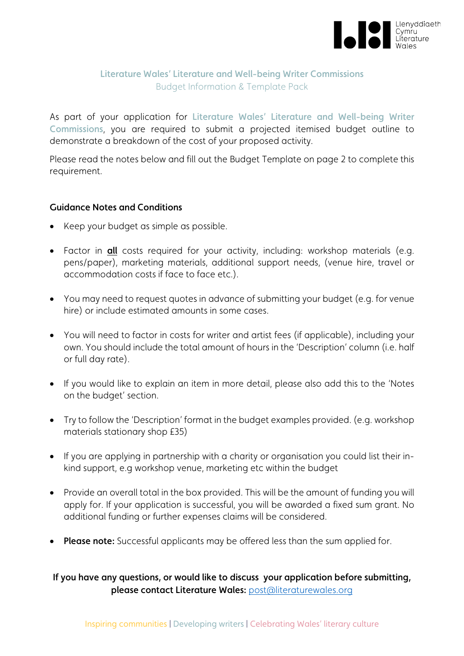

## Literature Wales' Literature and Well-being Writer Commissions Budget Information & Template Pack

As part of your application for Literature Wales' Literature and Well-being Writer Commissions, you are required to submit a projected itemised budget outline to demonstrate a breakdown of the cost of your proposed activity.

Please read the notes below and fill out the Budget Template on page 2 to complete this requirement.

## Guidance Notes and Conditions

- Keep your budget as simple as possible.
- Factor in all costs required for your activity, including: workshop materials (e.g. pens/paper), marketing materials, additional support needs, (venue hire, travel or accommodation costs if face to face etc.).
- You may need to request quotes in advance of submitting your budget (e.g. for venue hire) or include estimated amounts in some cases.
- You will need to factor in costs for writer and artist fees (if applicable), including your own. You should include the total amount of hours in the 'Description' column (i.e. half or full day rate).
- If you would like to explain an item in more detail, please also add this to the 'Notes on the budget' section.
- Try to follow the 'Description' format in the budget examples provided. (e.g. workshop materials stationary shop £35)
- If you are applying in partnership with a charity or organisation you could list their inkind support, e.g workshop venue, marketing etc within the budget
- Provide an overall total in the box provided. This will be the amount of funding you will apply for. If your application is successful, you will be awarded a fixed sum grant. No additional funding or further expenses claims will be considered.
- Please note: Successful applicants may be offered less than the sum applied for.

If you have any questions, or would like to discuss your application before submitting, please contact Literature Wales: [post@literaturewales.org](mailto:post@literaturewales.org)